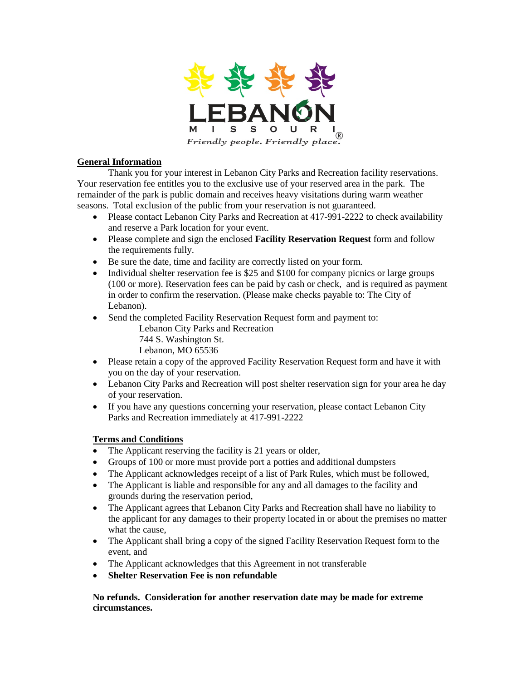

## **General Information**

Thank you for your interest in Lebanon City Parks and Recreation facility reservations. Your reservation fee entitles you to the exclusive use of your reserved area in the park. The remainder of the park is public domain and receives heavy visitations during warm weather seasons. Total exclusion of the public from your reservation is not guaranteed.

- Please contact Lebanon City Parks and Recreation at 417-991-2222 to check availability and reserve a Park location for your event.
- Please complete and sign the enclosed **Facility Reservation Request** form and follow the requirements fully.
- Be sure the date, time and facility are correctly listed on your form.
- Individual shelter reservation fee is \$25 and \$100 for company picnics or large groups (100 or more). Reservation fees can be paid by cash or check, and is required as payment in order to confirm the reservation. (Please make checks payable to: The City of Lebanon).
- Send the completed Facility Reservation Request form and payment to: Lebanon City Parks and Recreation 744 S. Washington St.
	- Lebanon, MO 65536
- Please retain a copy of the approved Facility Reservation Request form and have it with you on the day of your reservation.
- Lebanon City Parks and Recreation will post shelter reservation sign for your area he day of your reservation.
- If you have any questions concerning your reservation, please contact Lebanon City Parks and Recreation immediately at 417-991-2222

## **Terms and Conditions**

- The Applicant reserving the facility is 21 years or older,
- Groups of 100 or more must provide port a potties and additional dumpsters
- The Applicant acknowledges receipt of a list of Park Rules, which must be followed,
- The Applicant is liable and responsible for any and all damages to the facility and grounds during the reservation period,
- The Applicant agrees that Lebanon City Parks and Recreation shall have no liability to the applicant for any damages to their property located in or about the premises no matter what the cause,
- The Applicant shall bring a copy of the signed Facility Reservation Request form to the event, and
- The Applicant acknowledges that this Agreement in not transferable
- **Shelter Reservation Fee is non refundable**

**No refunds. Consideration for another reservation date may be made for extreme circumstances.**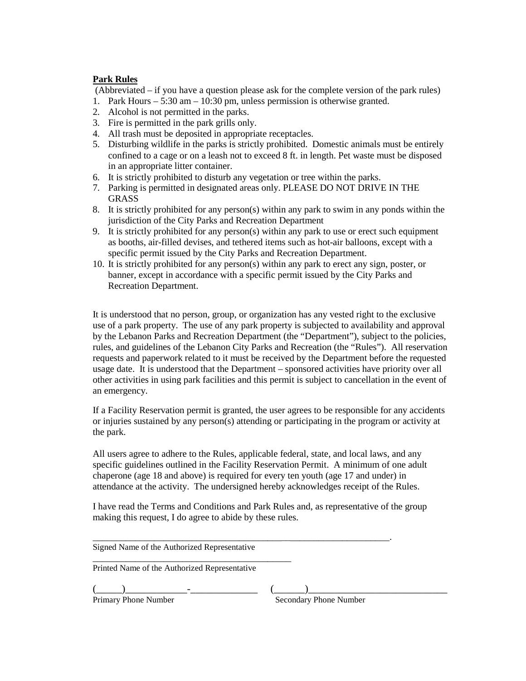## **Park Rules**

(Abbreviated – if you have a question please ask for the complete version of the park rules)

- 1. Park Hours 5:30 am 10:30 pm, unless permission is otherwise granted.
- 2. Alcohol is not permitted in the parks.
- 3. Fire is permitted in the park grills only.
- 4. All trash must be deposited in appropriate receptacles.
- 5. Disturbing wildlife in the parks is strictly prohibited. Domestic animals must be entirely confined to a cage or on a leash not to exceed 8 ft. in length. Pet waste must be disposed in an appropriate litter container.
- 6. It is strictly prohibited to disturb any vegetation or tree within the parks.
- 7. Parking is permitted in designated areas only. PLEASE DO NOT DRIVE IN THE GRASS
- 8. It is strictly prohibited for any person(s) within any park to swim in any ponds within the jurisdiction of the City Parks and Recreation Department
- 9. It is strictly prohibited for any person(s) within any park to use or erect such equipment as booths, air-filled devises, and tethered items such as hot-air balloons, except with a specific permit issued by the City Parks and Recreation Department.
- 10. It is strictly prohibited for any person(s) within any park to erect any sign, poster, or banner, except in accordance with a specific permit issued by the City Parks and Recreation Department.

It is understood that no person, group, or organization has any vested right to the exclusive use of a park property. The use of any park property is subjected to availability and approval by the Lebanon Parks and Recreation Department (the "Department"), subject to the policies, rules, and guidelines of the Lebanon City Parks and Recreation (the "Rules"). All reservation requests and paperwork related to it must be received by the Department before the requested usage date. It is understood that the Department – sponsored activities have priority over all other activities in using park facilities and this permit is subject to cancellation in the event of an emergency.

If a Facility Reservation permit is granted, the user agrees to be responsible for any accidents or injuries sustained by any person(s) attending or participating in the program or activity at the park.

All users agree to adhere to the Rules, applicable federal, state, and local laws, and any specific guidelines outlined in the Facility Reservation Permit. A minimum of one adult chaperone (age 18 and above) is required for every ten youth (age 17 and under) in attendance at the activity. The undersigned hereby acknowledges receipt of the Rules.

I have read the Terms and Conditions and Park Rules and, as representative of the group making this request, I do agree to abide by these rules.

\_\_\_\_\_\_\_\_\_\_\_\_\_\_\_\_\_\_\_\_\_\_\_\_\_\_\_\_\_\_\_\_\_\_\_\_\_\_\_\_\_\_\_\_\_\_\_\_\_\_\_\_\_\_\_\_\_\_\_\_\_\_\_.

Signed Name of the Authorized Representative

\_\_\_\_\_\_\_\_\_\_\_\_\_\_\_\_\_\_\_\_\_\_\_\_\_\_\_\_\_\_\_\_\_\_\_\_\_\_\_\_\_\_ Printed Name of the Authorized Representative

(\_\_\_\_\_)\_\_\_\_\_\_\_\_\_\_\_\_-\_\_\_\_\_\_\_\_\_\_\_\_\_ (\_\_\_\_\_\_)\_\_\_\_\_\_\_\_\_\_\_\_\_\_\_\_\_\_\_\_\_\_\_\_\_\_\_

**Secondary Phone Number**